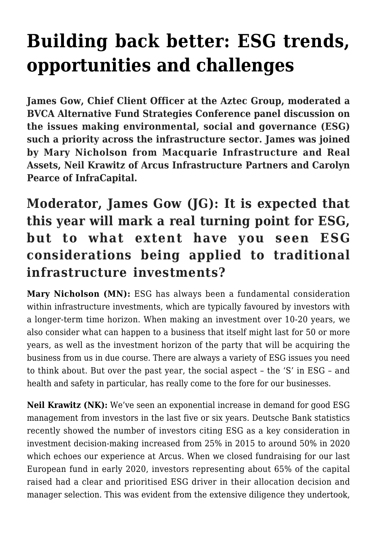# **[Building back better: ESG trends,](https://www.aztecgroup.co.uk/insights/building-back-better-esg-trends-opportunities-and-challenges/) [opportunities and challenges](https://www.aztecgroup.co.uk/insights/building-back-better-esg-trends-opportunities-and-challenges/)**

**James Gow, Chief Client Officer at the Aztec Group, moderated a BVCA Alternative Fund Strategies Conference panel discussion on the issues making environmental, social and governance (ESG) such a priority across the infrastructure sector. James was joined by Mary Nicholson from Macquarie Infrastructure and Real Assets, Neil Krawitz of Arcus Infrastructure Partners and Carolyn Pearce of InfraCapital.**

### **Moderator, James Gow (JG): It is expected that this year will mark a real turning point for ESG, but to what extent have you seen ESG considerations being applied to traditional infrastructure investments?**

**Mary Nicholson (MN):** ESG has always been a fundamental consideration within infrastructure investments, which are typically favoured by investors with a longer-term time horizon. When making an investment over 10-20 years, we also consider what can happen to a business that itself might last for 50 or more years, as well as the investment horizon of the party that will be acquiring the business from us in due course. There are always a variety of ESG issues you need to think about. But over the past year, the social aspect – the 'S' in ESG – and health and safety in particular, has really come to the fore for our businesses.

**Neil Krawitz (NK):** We've seen an exponential increase in demand for good ESG management from investors in the last five or six years. Deutsche Bank statistics recently showed the number of investors citing ESG as a key consideration in investment decision-making increased from 25% in 2015 to around 50% in 2020 which echoes our experience at Arcus. When we closed fundraising for our last European fund in early 2020, investors representing about 65% of the capital raised had a clear and prioritised ESG driver in their allocation decision and manager selection. This was evident from the extensive diligence they undertook,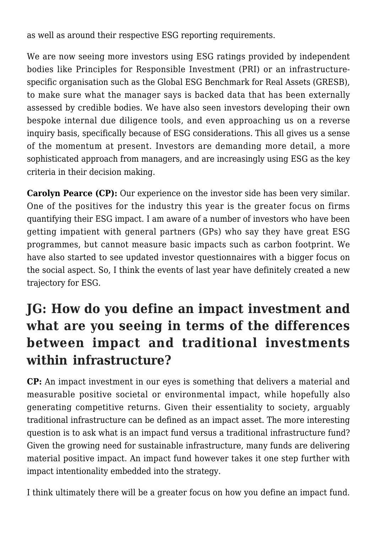as well as around their respective ESG reporting requirements.

We are now seeing more investors using ESG ratings provided by independent bodies like Principles for Responsible Investment (PRI) or an infrastructurespecific organisation such as the Global ESG Benchmark for Real Assets (GRESB), to make sure what the manager says is backed data that has been externally assessed by credible bodies. We have also seen investors developing their own bespoke internal due diligence tools, and even approaching us on a reverse inquiry basis, specifically because of ESG considerations. This all gives us a sense of the momentum at present. Investors are demanding more detail, a more sophisticated approach from managers, and are increasingly using ESG as the key criteria in their decision making.

**Carolyn Pearce (CP):** Our experience on the investor side has been very similar. One of the positives for the industry this year is the greater focus on firms quantifying their ESG impact. I am aware of a number of investors who have been getting impatient with general partners (GPs) who say they have great ESG programmes, but cannot measure basic impacts such as carbon footprint. We have also started to see updated investor questionnaires with a bigger focus on the social aspect. So, I think the events of last year have definitely created a new trajectory for ESG.

## **JG: How do you define an impact investment and what are you seeing in terms of the differences between impact and traditional investments within infrastructure?**

**CP:** An impact investment in our eyes is something that delivers a material and measurable positive societal or environmental impact, while hopefully also generating competitive returns. Given their essentiality to society, arguably traditional infrastructure can be defined as an impact asset. The more interesting question is to ask what is an impact fund versus a traditional infrastructure fund? Given the growing need for sustainable infrastructure, many funds are delivering material positive impact. An impact fund however takes it one step further with impact intentionality embedded into the strategy.

I think ultimately there will be a greater focus on how you define an impact fund.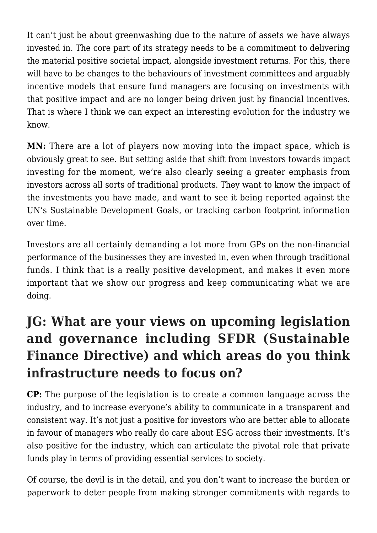It can't just be about greenwashing due to the nature of assets we have always invested in. The core part of its strategy needs to be a commitment to delivering the material positive societal impact, alongside investment returns. For this, there will have to be changes to the behaviours of investment committees and arguably incentive models that ensure fund managers are focusing on investments with that positive impact and are no longer being driven just by financial incentives. That is where I think we can expect an interesting evolution for the industry we know.

**MN:** There are a lot of players now moving into the impact space, which is obviously great to see. But setting aside that shift from investors towards impact investing for the moment, we're also clearly seeing a greater emphasis from investors across all sorts of traditional products. They want to know the impact of the investments you have made, and want to see it being reported against the UN's Sustainable Development Goals, or tracking carbon footprint information over time.

Investors are all certainly demanding a lot more from GPs on the non-financial performance of the businesses they are invested in, even when through traditional funds. I think that is a really positive development, and makes it even more important that we show our progress and keep communicating what we are doing.

## **JG: What are your views on upcoming legislation and governance including SFDR (Sustainable Finance Directive) and which areas do you think infrastructure needs to focus on?**

**CP:** The purpose of the legislation is to create a common language across the industry, and to increase everyone's ability to communicate in a transparent and consistent way. It's not just a positive for investors who are better able to allocate in favour of managers who really do care about ESG across their investments. It's also positive for the industry, which can articulate the pivotal role that private funds play in terms of providing essential services to society.

Of course, the devil is in the detail, and you don't want to increase the burden or paperwork to deter people from making stronger commitments with regards to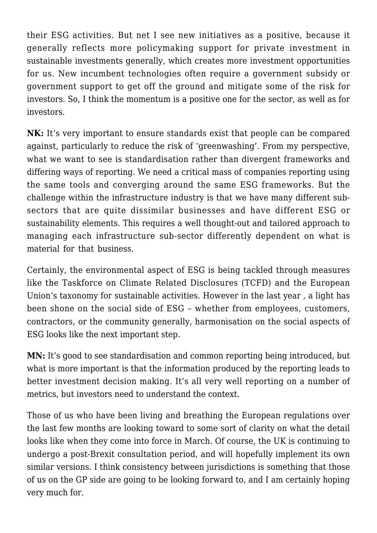their ESG activities. But net I see new initiatives as a positive, because it generally reflects more policymaking support for private investment in sustainable investments generally, which creates more investment opportunities for us. New incumbent technologies often require a government subsidy or government support to get off the ground and mitigate some of the risk for investors. So, I think the momentum is a positive one for the sector, as well as for investors.

**NK:** It's very important to ensure standards exist that people can be compared against, particularly to reduce the risk of 'greenwashing'. From my perspective, what we want to see is standardisation rather than divergent frameworks and differing ways of reporting. We need a critical mass of companies reporting using the same tools and converging around the same ESG frameworks. But the challenge within the infrastructure industry is that we have many different subsectors that are quite dissimilar businesses and have different ESG or sustainability elements. This requires a well thought-out and tailored approach to managing each infrastructure sub-sector differently dependent on what is material for that business.

Certainly, the environmental aspect of ESG is being tackled through measures like the Taskforce on Climate Related Disclosures (TCFD) and the European Union's taxonomy for sustainable activities. However in the last year , a light has been shone on the social side of ESG – whether from employees, customers, contractors, or the community generally, harmonisation on the social aspects of ESG looks like the next important step.

**MN:** It's good to see standardisation and common reporting being introduced, but what is more important is that the information produced by the reporting leads to better investment decision making. It's all very well reporting on a number of metrics, but investors need to understand the context.

Those of us who have been living and breathing the European regulations over the last few months are looking toward to some sort of clarity on what the detail looks like when they come into force in March. Of course, the UK is continuing to undergo a post-Brexit consultation period, and will hopefully implement its own similar versions. I think consistency between jurisdictions is something that those of us on the GP side are going to be looking forward to, and I am certainly hoping very much for.